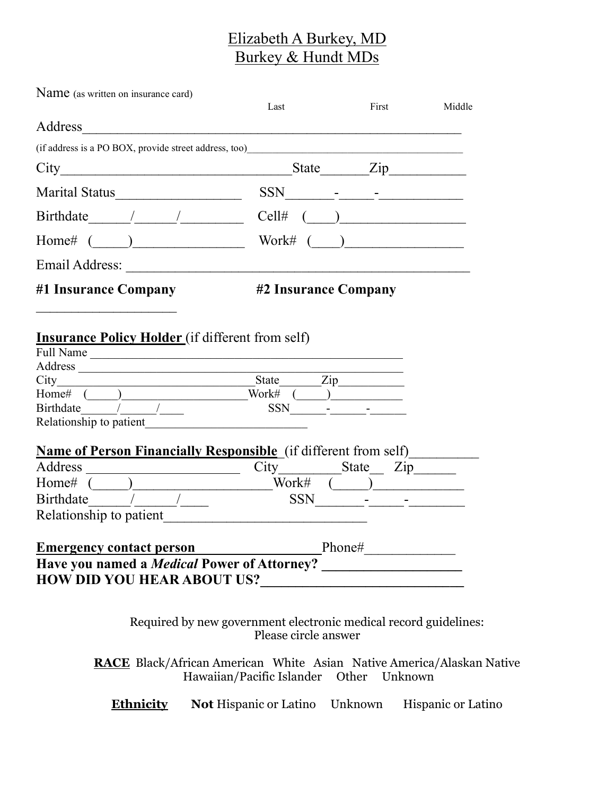## Elizabeth A Burkey, MD Burkey & Hundt MDs

| Name (as written on insurance card)                                                                                                                                                                                                                                                                                                                                                                          | Last                                                                                                                                                                                                                                                                   | First                                                                                                                                                                                                                                                                                                                                                              | Middle |
|--------------------------------------------------------------------------------------------------------------------------------------------------------------------------------------------------------------------------------------------------------------------------------------------------------------------------------------------------------------------------------------------------------------|------------------------------------------------------------------------------------------------------------------------------------------------------------------------------------------------------------------------------------------------------------------------|--------------------------------------------------------------------------------------------------------------------------------------------------------------------------------------------------------------------------------------------------------------------------------------------------------------------------------------------------------------------|--------|
| Address and the contract of the contract of the contract of the contract of the contract of the contract of the contract of the contract of the contract of the contract of the contract of the contract of the contract of th                                                                                                                                                                               |                                                                                                                                                                                                                                                                        |                                                                                                                                                                                                                                                                                                                                                                    |        |
| (if address is a PO BOX, provide street address, too) entries and the street and the street and the street and the street and the street and the street and the street and the street and the street and the street and the st                                                                                                                                                                               |                                                                                                                                                                                                                                                                        |                                                                                                                                                                                                                                                                                                                                                                    |        |
|                                                                                                                                                                                                                                                                                                                                                                                                              |                                                                                                                                                                                                                                                                        |                                                                                                                                                                                                                                                                                                                                                                    |        |
| Marital Status <b>Contract Contract Status</b>                                                                                                                                                                                                                                                                                                                                                               | SSN -                                                                                                                                                                                                                                                                  |                                                                                                                                                                                                                                                                                                                                                                    |        |
| $Birthdate \qquad / \qquad /$                                                                                                                                                                                                                                                                                                                                                                                | $\begin{picture}(20,20)(-0.00,0.00)(-0.00,0.00)(-0.00,0.00)(-0.00,0.00)(-0.00,0.00)(-0.00,0.00)(-0.00,0.00)(-0.00,0.00)(-0.00,0.00)(-0.00,0.00)(-0.00,0.00)(-0.00,0.00)(-0.00,0.00)(-0.00,0.00)(-0.00,0.00)(-0.00,0.00)(-0.00,0.00)(-0.00,0.00)(-0.00,0.00)($<br>Cell# |                                                                                                                                                                                                                                                                                                                                                                    |        |
|                                                                                                                                                                                                                                                                                                                                                                                                              |                                                                                                                                                                                                                                                                        | $\begin{picture}(20,20)(-0,0) \put(0,0){\vector(1,0){100}} \put(15,0){\vector(1,0){100}} \put(15,0){\vector(1,0){100}} \put(15,0){\vector(1,0){100}} \put(15,0){\vector(1,0){100}} \put(15,0){\vector(1,0){100}} \put(15,0){\vector(1,0){100}} \put(15,0){\vector(1,0){100}} \put(15,0){\vector(1,0){100}} \put(15,0){\vector(1,0){100}} \put(15,0){\vector(1,0){$ |        |
|                                                                                                                                                                                                                                                                                                                                                                                                              |                                                                                                                                                                                                                                                                        |                                                                                                                                                                                                                                                                                                                                                                    |        |
| #1 Insurance Company                                                                                                                                                                                                                                                                                                                                                                                         | #2 Insurance Company                                                                                                                                                                                                                                                   |                                                                                                                                                                                                                                                                                                                                                                    |        |
| Full Name<br>Address<br>Home# $\frac{1}{\text{Birthdate}}$<br>Relationship to patient                                                                                                                                                                                                                                                                                                                        | Work#<br>SSN                                                                                                                                                                                                                                                           | $\frac{\text{Zip}}{\text{Exp}}$                                                                                                                                                                                                                                                                                                                                    |        |
| <b>Name of Person Financially Responsible</b> (if different from self)                                                                                                                                                                                                                                                                                                                                       |                                                                                                                                                                                                                                                                        |                                                                                                                                                                                                                                                                                                                                                                    |        |
|                                                                                                                                                                                                                                                                                                                                                                                                              | City___________State___ Zip_______                                                                                                                                                                                                                                     |                                                                                                                                                                                                                                                                                                                                                                    |        |
|                                                                                                                                                                                                                                                                                                                                                                                                              |                                                                                                                                                                                                                                                                        |                                                                                                                                                                                                                                                                                                                                                                    |        |
| Birthdate $\frac{1}{\sqrt{1-\frac{1}{2}}}\frac{1}{\sqrt{1-\frac{1}{2}}\sqrt{1-\frac{1}{2}}\sqrt{1-\frac{1}{2}}\sqrt{1-\frac{1}{2}}\sqrt{1-\frac{1}{2}}\sqrt{1-\frac{1}{2}}\sqrt{1-\frac{1}{2}}\sqrt{1-\frac{1}{2}}\sqrt{1-\frac{1}{2}}\sqrt{1-\frac{1}{2}}\sqrt{1-\frac{1}{2}}\sqrt{1-\frac{1}{2}}\sqrt{1-\frac{1}{2}}\sqrt{1-\frac{1}{2}}\sqrt{1-\frac{1}{2}}\sqrt{1-\frac{1}{2}}\sqrt{1-\frac{1}{2}}\sqrt$ | <b>SSN</b>                                                                                                                                                                                                                                                             |                                                                                                                                                                                                                                                                                                                                                                    |        |
| Relationship to patient                                                                                                                                                                                                                                                                                                                                                                                      |                                                                                                                                                                                                                                                                        |                                                                                                                                                                                                                                                                                                                                                                    |        |
|                                                                                                                                                                                                                                                                                                                                                                                                              | Emergency contact person Phone# Phone#                                                                                                                                                                                                                                 |                                                                                                                                                                                                                                                                                                                                                                    |        |
|                                                                                                                                                                                                                                                                                                                                                                                                              |                                                                                                                                                                                                                                                                        |                                                                                                                                                                                                                                                                                                                                                                    |        |
| <b>HOW DID YOU HEAR ABOUT US?</b>                                                                                                                                                                                                                                                                                                                                                                            |                                                                                                                                                                                                                                                                        |                                                                                                                                                                                                                                                                                                                                                                    |        |
|                                                                                                                                                                                                                                                                                                                                                                                                              |                                                                                                                                                                                                                                                                        |                                                                                                                                                                                                                                                                                                                                                                    |        |
|                                                                                                                                                                                                                                                                                                                                                                                                              |                                                                                                                                                                                                                                                                        |                                                                                                                                                                                                                                                                                                                                                                    |        |

Required by new government electronic medical record guidelines: Please circle answer

RACE Black/African American White Asian Native America/Alaskan Native Hawaiian/Pacific Islander Other Unknown

Ethnicity Not Hispanic or Latino Unknown Hispanic or Latino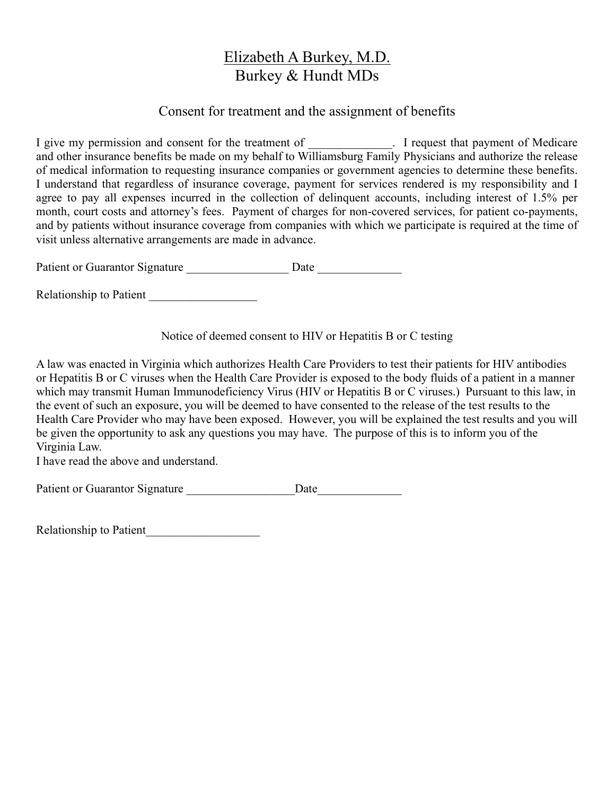## Elizabeth A Burkey, M.D. Burkey & Hundt MDs

### Consent for treatment and the assignment of benefits

I give my permission and consent for the treatment of \_\_\_\_\_\_\_\_\_\_\_\_. I request that payment of Medicare and other insurance benefits be made on my behalf to Williamsburg Family Physicians and authorize the release of medical information to requesting insurance companies or government agencies to determine these benefits. I understand that regardless of insurance coverage, payment for services rendered is my responsibility and I agree to pay all expenses incurred in the collection of delinquent accounts, including interest of 1.5% per month, court costs and attorney's fees. Payment of charges for non-covered services, for patient co-payments, and by patients without insurance coverage from companies with which we participate is required at the time of visit unless alternative arrangements are made in advance.

Patient or Guarantor Signature \_\_\_\_\_\_\_\_\_\_\_\_\_\_\_\_\_\_\_\_ Date \_\_\_\_\_\_\_\_\_\_\_\_\_\_\_\_\_\_\_\_\_\_\_

Relationship to Patient

Notice of deemed consent to HIV or Hepatitis B or C testing

A law was enacted in Virginia which authorizes Health Care Providers to test their patients for HIV antibodies or Hepatitis B or C viruses when the Health Care Provider is exposed to the body fluids of a patient in a manner which may transmit Human Immunodeficiency Virus (HIV or Hepatitis B or C viruses.) Pursuant to this law, in the event of such an exposure, you will be deemed to have consented to the release of the test results to the Health Care Provider who may have been exposed. However, you will be explained the test results and you will be given the opportunity to ask any questions you may have. The purpose of this is to inform you of the Virginia Law.

I have read the above and understand.

Patient or Guarantor Signature \_\_\_\_\_\_\_\_\_\_\_\_\_\_\_\_\_\_Date\_\_\_\_\_\_\_\_\_\_\_\_\_\_

Relationship to Patient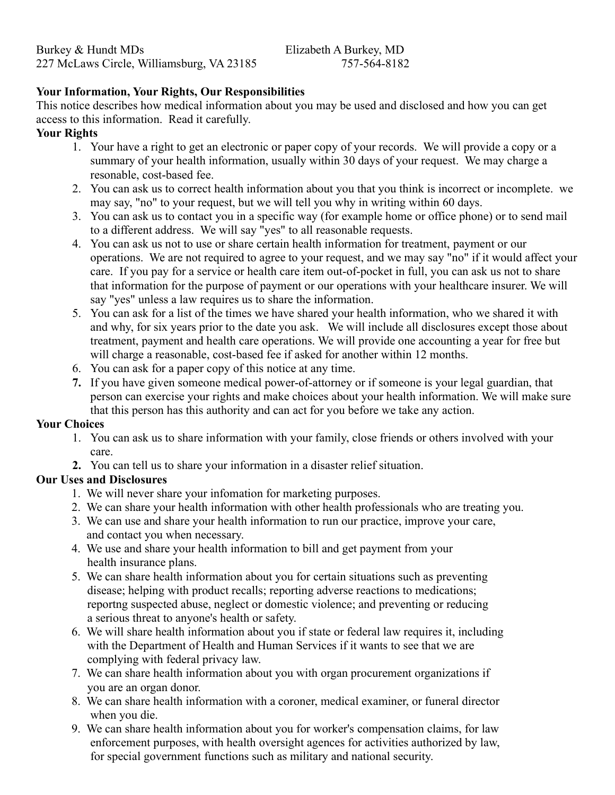#### Your Information, Your Rights, Our Responsibilities

This notice describes how medical information about you may be used and disclosed and how you can get access to this information. Read it carefully.

#### Your Rights

- 1. Your have a right to get an electronic or paper copy of your records. We will provide a copy or a summary of your health information, usually within 30 days of your request. We may charge a resonable, cost-based fee.
- 2. You can ask us to correct health information about you that you think is incorrect or incomplete. we may say, "no" to your request, but we will tell you why in writing within 60 days.
- 3. You can ask us to contact you in a specific way (for example home or office phone) or to send mail to a different address. We will say "yes" to all reasonable requests.
- 4. You can ask us not to use or share certain health information for treatment, payment or our operations. We are not required to agree to your request, and we may say "no" if it would affect your care. If you pay for a service or health care item out-of-pocket in full, you can ask us not to share that information for the purpose of payment or our operations with your healthcare insurer. We will say "yes" unless a law requires us to share the information.
- 5. You can ask for a list of the times we have shared your health information, who we shared it with and why, for six years prior to the date you ask. We will include all disclosures except those about treatment, payment and health care operations. We will provide one accounting a year for free but will charge a reasonable, cost-based fee if asked for another within 12 months.
- 6. You can ask for a paper copy of this notice at any time.
- 7. If you have given someone medical power-of-attorney or if someone is your legal guardian, that person can exercise your rights and make choices about your health information. We will make sure that this person has this authority and can act for you before we take any action.

#### Your Choices

- 1. You can ask us to share information with your family, close friends or others involved with your care.
- 2. You can tell us to share your information in a disaster relief situation.

#### Our Uses and Disclosures

- 1. We will never share your infomation for marketing purposes.
- 2. We can share your health information with other health professionals who are treating you.
- 3. We can use and share your health information to run our practice, improve your care, and contact you when necessary.
- 4. We use and share your health information to bill and get payment from your health insurance plans.
- 5. We can share health information about you for certain situations such as preventing disease; helping with product recalls; reporting adverse reactions to medications; reportng suspected abuse, neglect or domestic violence; and preventing or reducing a serious threat to anyone's health or safety.
- 6. We will share health information about you if state or federal law requires it, including with the Department of Health and Human Services if it wants to see that we are complying with federal privacy law.
- 7. We can share health information about you with organ procurement organizations if you are an organ donor.
- 8. We can share health information with a coroner, medical examiner, or funeral director when you die.
- 9. We can share health information about you for worker's compensation claims, for law enforcement purposes, with health oversight agences for activities authorized by law, for special government functions such as military and national security.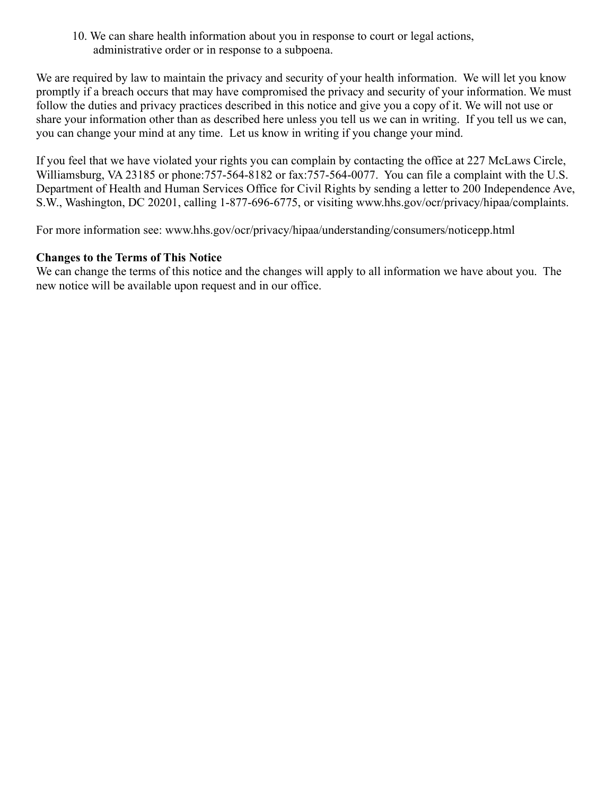10. We can share health information about you in response to court or legal actions, administrative order or in response to a subpoena.

We are required by law to maintain the privacy and security of your health information. We will let you know promptly if a breach occurs that may have compromised the privacy and security of your information. We must follow the duties and privacy practices described in this notice and give you a copy of it. We will not use or share your information other than as described here unless you tell us we can in writing. If you tell us we can, you can change your mind at any time. Let us know in writing if you change your mind.

If you feel that we have violated your rights you can complain by contacting the office at 227 McLaws Circle, Williamsburg, VA 23185 or phone:757-564-8182 or fax:757-564-0077. You can file a complaint with the U.S. Department of Health and Human Services Office for Civil Rights by sending a letter to 200 Independence Ave, S.W., Washington, DC 20201, calling 1-877-696-6775, or visiting www.hhs.gov/ocr/privacy/hipaa/complaints.

For more information see: www.hhs.gov/ocr/privacy/hipaa/understanding/consumers/noticepp.html

#### Changes to the Terms of This Notice

We can change the terms of this notice and the changes will apply to all information we have about you. The new notice will be available upon request and in our office.